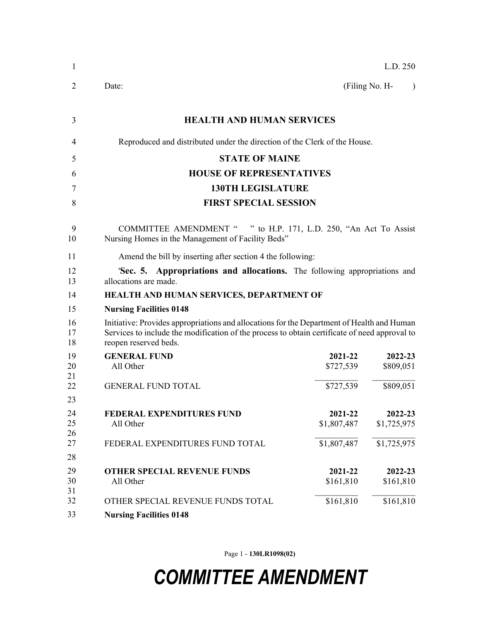| 1                    | L.D. 250                                                                                                                                                                                                             |                        |                             |  |
|----------------------|----------------------------------------------------------------------------------------------------------------------------------------------------------------------------------------------------------------------|------------------------|-----------------------------|--|
| 2                    | Date:                                                                                                                                                                                                                |                        | (Filing No. H-<br>$\lambda$ |  |
| 3                    | <b>HEALTH AND HUMAN SERVICES</b>                                                                                                                                                                                     |                        |                             |  |
| 4                    | Reproduced and distributed under the direction of the Clerk of the House.                                                                                                                                            |                        |                             |  |
| 5                    | <b>STATE OF MAINE</b>                                                                                                                                                                                                |                        |                             |  |
| 6                    | <b>HOUSE OF REPRESENTATIVES</b>                                                                                                                                                                                      |                        |                             |  |
| 7                    | <b>130TH LEGISLATURE</b>                                                                                                                                                                                             |                        |                             |  |
| 8                    | <b>FIRST SPECIAL SESSION</b>                                                                                                                                                                                         |                        |                             |  |
| 9<br>10              | COMMITTEE AMENDMENT " " to H.P. 171, L.D. 250, "An Act To Assist<br>Nursing Homes in the Management of Facility Beds"                                                                                                |                        |                             |  |
| 11                   | Amend the bill by inserting after section 4 the following:                                                                                                                                                           |                        |                             |  |
| 12<br>13             | 'Sec. 5. Appropriations and allocations. The following appropriations and<br>allocations are made.                                                                                                                   |                        |                             |  |
| 14                   | HEALTH AND HUMAN SERVICES, DEPARTMENT OF                                                                                                                                                                             |                        |                             |  |
| 15                   | <b>Nursing Facilities 0148</b>                                                                                                                                                                                       |                        |                             |  |
| 16<br>17<br>18       | Initiative: Provides appropriations and allocations for the Department of Health and Human<br>Services to include the modification of the process to obtain certificate of need approval to<br>reopen reserved beds. |                        |                             |  |
| 19<br>20<br>21       | <b>GENERAL FUND</b><br>All Other                                                                                                                                                                                     | 2021-22<br>\$727,539   | 2022-23<br>\$809,051        |  |
| 22                   | <b>GENERAL FUND TOTAL</b>                                                                                                                                                                                            | \$727,539              | \$809,051                   |  |
| 23<br>24<br>25<br>26 | FEDERAL EXPENDITURES FUND<br>All Other                                                                                                                                                                               | 2021-22<br>\$1,807,487 | 2022-23<br>\$1,725,975      |  |
| 27<br>28             | FEDERAL EXPENDITURES FUND TOTAL                                                                                                                                                                                      | \$1,807,487            | \$1,725,975                 |  |
| 29<br>30<br>31       | <b>OTHER SPECIAL REVENUE FUNDS</b><br>All Other                                                                                                                                                                      | 2021-22<br>\$161,810   | 2022-23<br>\$161,810        |  |
| 32                   | OTHER SPECIAL REVENUE FUNDS TOTAL                                                                                                                                                                                    | \$161,810              | \$161,810                   |  |
| 33                   | <b>Nursing Facilities 0148</b>                                                                                                                                                                                       |                        |                             |  |

Page 1 - **130LR1098(02)**

## *COMMITTEE AMENDMENT*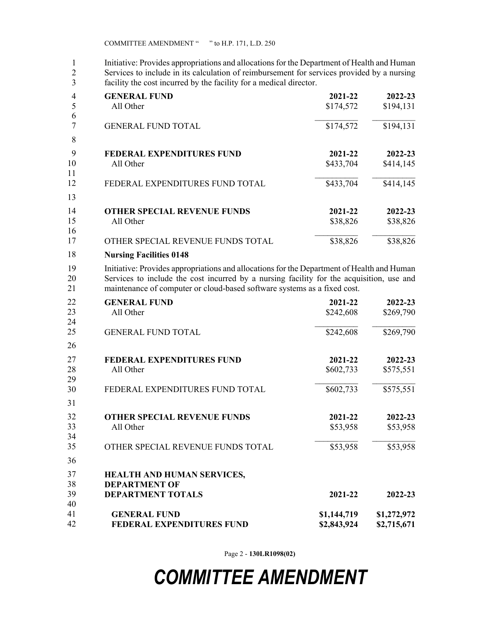1 Initiative: Provides appropriations and allocations for the Department of Health and Human<br>2 Services to include in its calculation of reimbursement for services provided by a nursing 2 Services to include in its calculation of reimbursement for services provided by a nursing facility the cost incurred by the facility for a medical director. facility the cost incurred by the facility for a medical director.

| 4  | <b>GENERAL FUND</b>                | 2021-22   | 2022-23   |
|----|------------------------------------|-----------|-----------|
| 5  | All Other                          | \$174,572 | \$194,131 |
| 6  |                                    |           |           |
|    | <b>GENERAL FUND TOTAL</b>          | \$174,572 | \$194,131 |
| 8  |                                    |           |           |
| 9  | <b>FEDERAL EXPENDITURES FUND</b>   | 2021-22   | 2022-23   |
| 10 | All Other                          | \$433,704 | \$414,145 |
| 11 |                                    |           |           |
| 12 | FEDERAL EXPENDITURES FUND TOTAL    | \$433,704 | \$414,145 |
| 13 |                                    |           |           |
| 14 | <b>OTHER SPECIAL REVENUE FUNDS</b> | 2021-22   | 2022-23   |
| 15 | All Other                          | \$38,826  | \$38,826  |
| 16 |                                    |           |           |
| 17 | OTHER SPECIAL REVENUE FUNDS TOTAL  | \$38,826  | \$38,826  |
| 18 | <b>Nursing Facilities 0148</b>     |           |           |

19 Initiative: Provides appropriations and allocations for the Department of Health and Human 20 Services to include the cost incurred by a nursing facility for the acquisition, use and 21 maintenance of computer or cloud-based software systems as a fixed cost.

| 22       | <b>GENERAL FUND</b>                | 2021-22     | 2022-23     |
|----------|------------------------------------|-------------|-------------|
| 23<br>24 | All Other                          | \$242,608   | \$269,790   |
| 25       | <b>GENERAL FUND TOTAL</b>          | \$242,608   | \$269,790   |
| 26       |                                    |             |             |
| 27       | <b>FEDERAL EXPENDITURES FUND</b>   | 2021-22     | 2022-23     |
| 28<br>29 | All Other                          | \$602,733   | \$575,551   |
| 30       | FEDERAL EXPENDITURES FUND TOTAL    | \$602,733   | \$575,551   |
| 31       |                                    |             |             |
| 32       | <b>OTHER SPECIAL REVENUE FUNDS</b> | 2021-22     | 2022-23     |
| 33<br>34 | All Other                          | \$53,958    | \$53,958    |
| 35       | OTHER SPECIAL REVENUE FUNDS TOTAL  | \$53,958    | \$53,958    |
| 36       |                                    |             |             |
| 37       | HEALTH AND HUMAN SERVICES,         |             |             |
| 38       | <b>DEPARTMENT OF</b>               |             |             |
| 39<br>40 | <b>DEPARTMENT TOTALS</b>           | 2021-22     | 2022-23     |
| 41       | <b>GENERAL FUND</b>                | \$1,144,719 | \$1,272,972 |
| 42       | <b>FEDERAL EXPENDITURES FUND</b>   | \$2,843,924 | \$2,715,671 |

Page 2 - **130LR1098(02)**

## *COMMITTEE AMENDMENT*